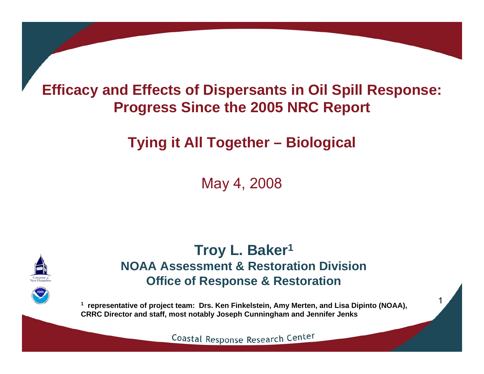#### **Efficacy and Effects of Dispersants in Oil Spill Response: Progress Since the 2005 NRC Report**

### **Tying it All Together – Biological**

May 4, 2008



**Troy L. Baker 1 NOAA Assessment & Restoration DivisionOffice of Response & Restoration**

**1 representative of project team: Drs. Ken Finkelstein, Amy Merten, and Lisa Dipinto (NOAA), CRRC Director and staff, most notably Joseph Cunningham and Jennifer Jenks**

1

Coastal Response Research Center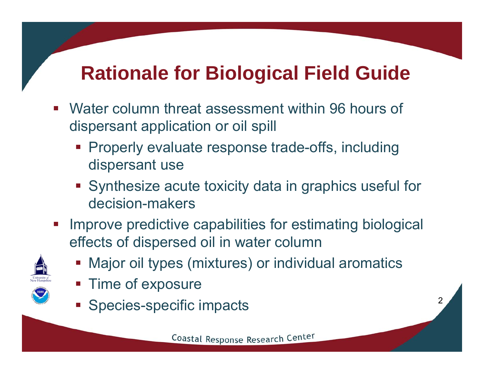# **Rationale for Biological Field Guide**

- Water column threat assessment within 96 hours of dispersant application or oil spill
	- **Properly evaluate response trade-offs, including** dispersant use
	- Synthesize acute toxicity data in graphics useful for decision-makers
- $\mathcal{L}_{\mathcal{A}}$  Improve predictive capabilities for estimating biological effects of dispersed oil in water column



- **Major oil types (mixtures) or individual aromatics**
- Time of exposure
- **Species-specific impacts**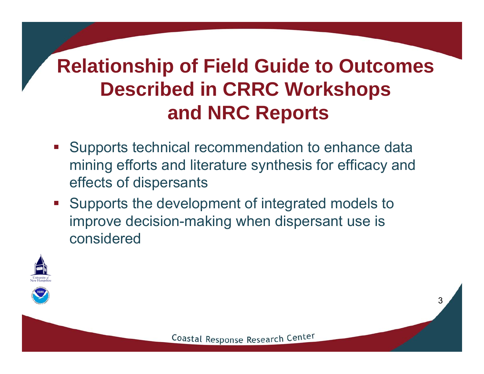# **Relationship of Field Guide to Outcomes Described in CRRC Workshops and NRC Reports**

- **Supports technical recommendation to enhance data** mining efforts and literature synthesis for efficacy and effects of dispersants
- **Supports the development of integrated models to** improve decision-making when dispersant use is considered



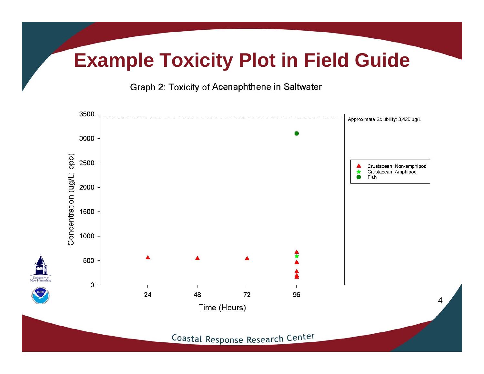### **Example Toxicity Plot in Field Guide**

Graph 2: Toxicity of Acenaphthene in Saltwater

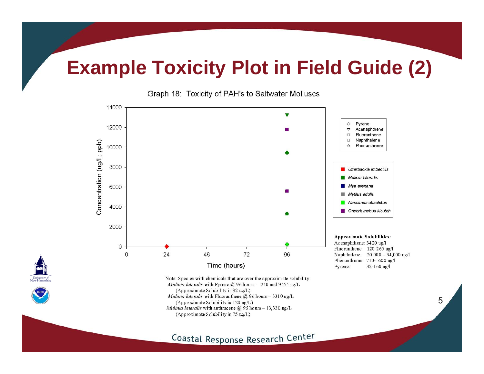### **Example Toxicity Plot in Field Guide (2)**





Coastal Response Research Center

University<br>New Hamps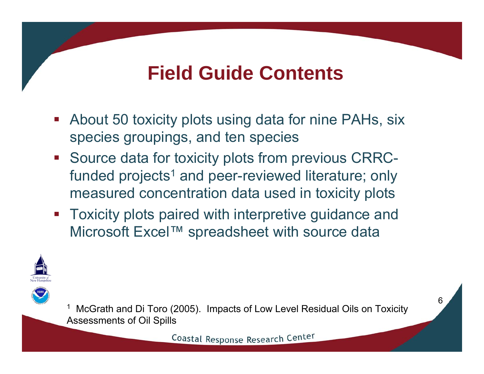### **Field Guide Contents**

- About 50 toxicity plots using data for nine PAHs, six species groupings, and ten species
- **Source data for toxicity plots from previous CRRC**funded projects<sup>1</sup> and peer-reviewed literature; only measured concentration data used in toxicity plots
- $\mathcal{L}_{\mathcal{A}}$  Toxicity plots paired with interpretive guidance and Microsoft Excel™ spreadsheet with source data





1 McGrath and Di Toro (2005). Impacts of Low Level Residual Oils on Toxicity Assessments of Oil Spills

Coastal Response Research Center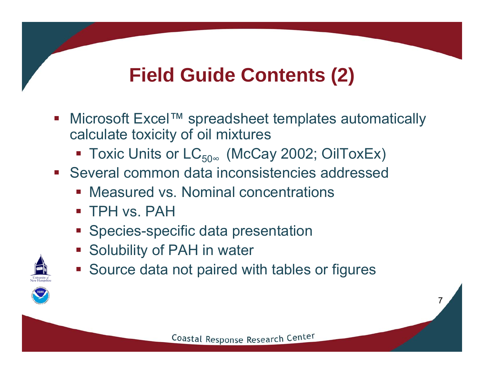## **Field Guide Contents (2)**

- $\mathcal{L}_{\mathcal{A}}$  Microsoft Excel™ spreadsheet templates automatically calculate toxicity of oil mixtures
	- Toxic Units or LC $_{50^\infty}$  (McCay 2002; OilToxEx)
- Several common data inconsistencies addressed
	- **Measured vs. Nominal concentrations**
	- TPH vs. PAH
	- **Species-specific data presentation**
	- **Solubility of PAH in water**
	- **Source data not paired with tables or figures**

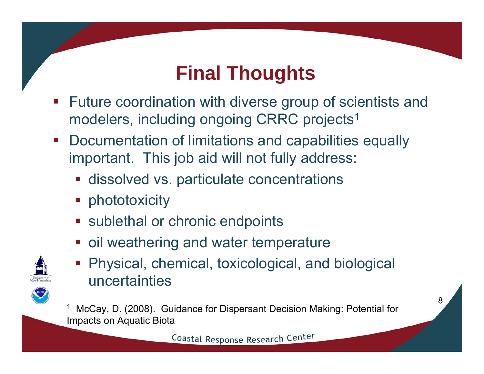### **Final Thoughts**

- Future coordination with diverse group of scientists and modelers, including ongoing CRRC projects<sup>1</sup>
- $\mathcal{L}_{\mathcal{A}}$  Documentation of limitations and capabilities equally important. This job aid will not fully address:
	- **Example 1 dissolved vs. particulate concentrations**
	- **•** phototoxicity
	- **sublethal or chronic endpoints**
	- oil weathering and water temperature



 Physical, chemical, toxicological, and biological uncertainties

1 McCay, D. (2008). Guidance for Dispersant Decision Making: Potential for Impacts on Aquatic Biota

Coastal Response Research Center